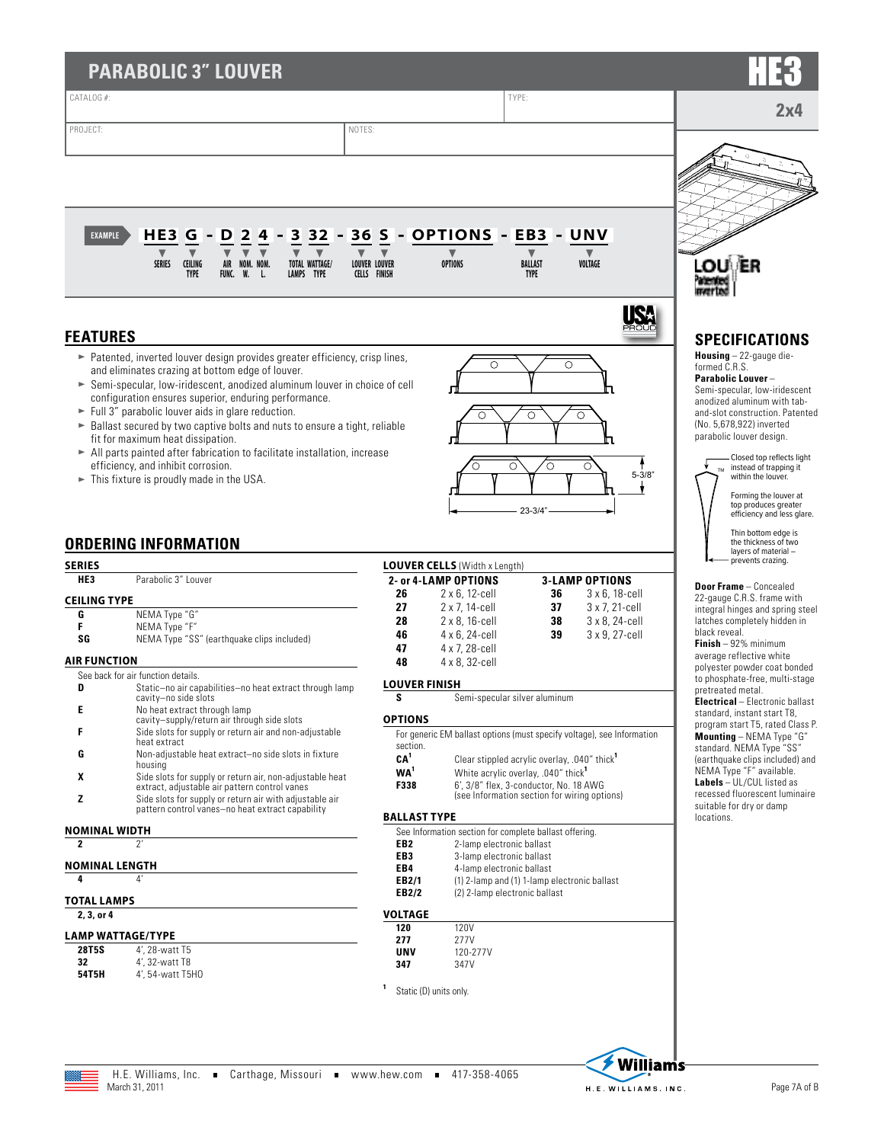| <b>PARABOLIC 3" LOUVER</b>                                       |                                                                                                                                                                                                                                                                                                                                                                                                                                                                                                                                                                                                                                                       |                                                             |                                                                                     |                                                                                           |                                                                              |                                                                                                                                                                                                                                                                                                                                                                                                                             |
|------------------------------------------------------------------|-------------------------------------------------------------------------------------------------------------------------------------------------------------------------------------------------------------------------------------------------------------------------------------------------------------------------------------------------------------------------------------------------------------------------------------------------------------------------------------------------------------------------------------------------------------------------------------------------------------------------------------------------------|-------------------------------------------------------------|-------------------------------------------------------------------------------------|-------------------------------------------------------------------------------------------|------------------------------------------------------------------------------|-----------------------------------------------------------------------------------------------------------------------------------------------------------------------------------------------------------------------------------------------------------------------------------------------------------------------------------------------------------------------------------------------------------------------------|
| CATALOG #:                                                       |                                                                                                                                                                                                                                                                                                                                                                                                                                                                                                                                                                                                                                                       |                                                             |                                                                                     | TYPE:                                                                                     |                                                                              |                                                                                                                                                                                                                                                                                                                                                                                                                             |
| PROJECT:                                                         | NOTES:                                                                                                                                                                                                                                                                                                                                                                                                                                                                                                                                                                                                                                                |                                                             |                                                                                     |                                                                                           |                                                                              | 2x4                                                                                                                                                                                                                                                                                                                                                                                                                         |
| <b>EXAMPLE</b>                                                   | 3 3 2<br>HE <sub>3</sub><br>$\mathbf{2}$<br>G<br>D<br>4<br><b>CEILING</b><br>SERIES<br>AIR NOM. NOM.<br><b>TOTAL WATTAGE/</b><br>W.<br><b>TYPE</b><br>LAMPS TYPE<br>FUNC.<br>- L.                                                                                                                                                                                                                                                                                                                                                                                                                                                                     | 36 S<br><b>LOUVER LOUVER</b><br><b>CELLS FINISH</b>         | - OPTIONS - EB3 - UNV<br><b>OPTIONS</b>                                             | BALLAST<br><b>TYPE</b>                                                                    | VOLTAGE                                                                      | <b>LOU</b>                                                                                                                                                                                                                                                                                                                                                                                                                  |
|                                                                  |                                                                                                                                                                                                                                                                                                                                                                                                                                                                                                                                                                                                                                                       |                                                             |                                                                                     |                                                                                           |                                                                              |                                                                                                                                                                                                                                                                                                                                                                                                                             |
| <b>FEATURES</b>                                                  |                                                                                                                                                                                                                                                                                                                                                                                                                                                                                                                                                                                                                                                       |                                                             |                                                                                     |                                                                                           |                                                                              | <b>SPECIFICATIONS</b>                                                                                                                                                                                                                                                                                                                                                                                                       |
|                                                                  | Patented, inverted louver design provides greater efficiency, crisp lines,<br>and eliminates crazing at bottom edge of louver.<br>Semi-specular, low-iridescent, anodized aluminum louver in choice of cell<br>configuration ensures superior, enduring performance.<br>$\blacktriangleright$ Full 3" parabolic louver aids in glare reduction.<br>Ballast secured by two captive bolts and nuts to ensure a tight, reliable<br>fit for maximum heat dissipation.<br>All parts painted after fabrication to facilitate installation, increase<br>efficiency, and inhibit corrosion.<br>$\blacktriangleright$ This fixture is proudly made in the USA. |                                                             |                                                                                     | O<br>O<br>O<br>$23 - 3/4"$                                                                | O<br>Ω<br>О<br>$5 - 3/8"$                                                    | <b>Housing</b> $-22$ -gauge die-<br>formed C.R.S.<br><b>Parabolic Louver-</b><br>Semi-specular, low-iridescent<br>anodized aluminum with tab-<br>and-slot construction. Patented<br>(No. 5,678,922) inverted<br>parabolic louver design.<br>Closed top reflects light<br>instead of trapping it<br>within the louver.<br>Forming the louver at<br>top produces greater<br>efficiency and less glare.<br>Thin bottom edge is |
|                                                                  | <b>ORDERING INFORMATION</b>                                                                                                                                                                                                                                                                                                                                                                                                                                                                                                                                                                                                                           |                                                             |                                                                                     |                                                                                           |                                                                              | the thickness of two<br>layers of material -                                                                                                                                                                                                                                                                                                                                                                                |
| <b>SERIES</b>                                                    |                                                                                                                                                                                                                                                                                                                                                                                                                                                                                                                                                                                                                                                       |                                                             | <b>LOUVER CELLS (Width x Length)</b>                                                |                                                                                           |                                                                              | prevents crazing.                                                                                                                                                                                                                                                                                                                                                                                                           |
| HE3                                                              | Parabolic 3" Louver                                                                                                                                                                                                                                                                                                                                                                                                                                                                                                                                                                                                                                   |                                                             | 2- or 4-LAMP OPTIONS                                                                |                                                                                           | <b>3-LAMP OPTIONS</b>                                                        | <b>Door Frame</b> - Concealed                                                                                                                                                                                                                                                                                                                                                                                               |
| <b>CEILING TYPE</b><br>G<br>F<br>SG                              | NEMA Type "G"<br>NEMA Type "F"<br>NEMA Type "SS" (earthquake clips included)                                                                                                                                                                                                                                                                                                                                                                                                                                                                                                                                                                          | 26<br>27<br>28<br>46                                        | 2 x 6, 12-cell<br>2 x 7, 14-cell<br>2 x 8, 16-cell<br>4 x 6, 24-cell                | 36<br>37<br>38<br>39                                                                      | $3 \times 6$ , 18-cell<br>3 x 7, 21-cell<br>3 x 8, 24-cell<br>3 x 9, 27-cell | 22-gauge C.R.S. frame with<br>integral hinges and spring steel<br>latches completely hidden in<br>black reveal.                                                                                                                                                                                                                                                                                                             |
| <b>AIR FUNCTION</b>                                              |                                                                                                                                                                                                                                                                                                                                                                                                                                                                                                                                                                                                                                                       | 47                                                          | 4 x 7, 28-cell                                                                      |                                                                                           |                                                                              | <b>Finish</b> $-92%$ minimum<br>average reflective white                                                                                                                                                                                                                                                                                                                                                                    |
|                                                                  | See back for air function details.                                                                                                                                                                                                                                                                                                                                                                                                                                                                                                                                                                                                                    | 48                                                          | 4 x 8, 32-cell                                                                      |                                                                                           |                                                                              | polyester powder coat bonded                                                                                                                                                                                                                                                                                                                                                                                                |
| D                                                                | Static-no air capabilities-no heat extract through lamp                                                                                                                                                                                                                                                                                                                                                                                                                                                                                                                                                                                               | <b>LOUVER FINISH</b>                                        |                                                                                     |                                                                                           |                                                                              | to phosphate-free, multi-stage<br>pretreated metal.                                                                                                                                                                                                                                                                                                                                                                         |
| Е                                                                | cavity-no side slots<br>No heat extract through lamp                                                                                                                                                                                                                                                                                                                                                                                                                                                                                                                                                                                                  |                                                             |                                                                                     | Semi-specular silver aluminum                                                             |                                                                              | <b>Electrical</b> - Electronic ballast<br>standard, instant start T8,                                                                                                                                                                                                                                                                                                                                                       |
| F                                                                | cavity-supply/return air through side slots<br>Side slots for supply or return air and non-adjustable                                                                                                                                                                                                                                                                                                                                                                                                                                                                                                                                                 | <b>OPTIONS</b>                                              |                                                                                     |                                                                                           |                                                                              | program start T5, rated Class P.                                                                                                                                                                                                                                                                                                                                                                                            |
|                                                                  | heat extract                                                                                                                                                                                                                                                                                                                                                                                                                                                                                                                                                                                                                                          | section.                                                    |                                                                                     |                                                                                           | For generic EM ballast options (must specify voltage), see Information       | Mounting - NEMA Type "G"<br>standard. NEMA Type "SS"                                                                                                                                                                                                                                                                                                                                                                        |
| G                                                                | Non-adjustable heat extract-no side slots in fixture<br>housing                                                                                                                                                                                                                                                                                                                                                                                                                                                                                                                                                                                       | CA <sup>1</sup>                                             |                                                                                     | Clear stippled acrylic overlay, .040" thick <sup>1</sup>                                  |                                                                              | (earthquake clips included) and                                                                                                                                                                                                                                                                                                                                                                                             |
| X                                                                | Side slots for supply or return air, non-adjustable heat                                                                                                                                                                                                                                                                                                                                                                                                                                                                                                                                                                                              | WA <sup>1</sup><br>F338                                     |                                                                                     | White acrylic overlay, .040" thick <sup>1</sup><br>6', 3/8" flex, 3-conductor, No. 18 AWG |                                                                              | NEMA Type "F" available.<br>Labels - UL/CUL listed as                                                                                                                                                                                                                                                                                                                                                                       |
| z                                                                | extract, adjustable air pattern control vanes<br>Side slots for supply or return air with adjustable air                                                                                                                                                                                                                                                                                                                                                                                                                                                                                                                                              |                                                             |                                                                                     | (see Information section for wiring options)                                              |                                                                              | recessed fluorescent luminaire                                                                                                                                                                                                                                                                                                                                                                                              |
|                                                                  | pattern control vanes-no heat extract capability                                                                                                                                                                                                                                                                                                                                                                                                                                                                                                                                                                                                      | <b>BALLAST TYPE</b>                                         |                                                                                     |                                                                                           |                                                                              | suitable for dry or damp<br>locations.                                                                                                                                                                                                                                                                                                                                                                                      |
| <b>NOMINAL WIDTH</b>                                             |                                                                                                                                                                                                                                                                                                                                                                                                                                                                                                                                                                                                                                                       |                                                             | See Information section for complete ballast offering.                              |                                                                                           |                                                                              |                                                                                                                                                                                                                                                                                                                                                                                                                             |
| $\mathbf{2}$<br><b>NOMINAL LENGTH</b><br>4<br><b>TOTAL LAMPS</b> | $2^{\prime}$<br>$\mathbf{4}'$                                                                                                                                                                                                                                                                                                                                                                                                                                                                                                                                                                                                                         | EB <sub>2</sub><br>EB <sub>3</sub><br>EB4<br>EB2/1<br>EB2/2 | 2-lamp electronic ballast<br>3-lamp electronic ballast<br>4-lamp electronic ballast | (1) 2-lamp and (1) 1-lamp electronic ballast<br>(2) 2-lamp electronic ballast             |                                                                              |                                                                                                                                                                                                                                                                                                                                                                                                                             |
| 2, 3, or 4                                                       |                                                                                                                                                                                                                                                                                                                                                                                                                                                                                                                                                                                                                                                       | <b>VOLTAGE</b>                                              |                                                                                     |                                                                                           |                                                                              |                                                                                                                                                                                                                                                                                                                                                                                                                             |
| <b>LAMP WATTAGE/TYPE</b><br>28T5S<br>32                          | 4', 28-watt T5<br>4', 32-watt T8                                                                                                                                                                                                                                                                                                                                                                                                                                                                                                                                                                                                                      | 120<br>277<br><b>UNV</b><br>347                             | 120V<br>277V<br>120-277V<br>347V                                                    |                                                                                           |                                                                              |                                                                                                                                                                                                                                                                                                                                                                                                                             |
| 54T5H                                                            | 4', 54-watt T5H0                                                                                                                                                                                                                                                                                                                                                                                                                                                                                                                                                                                                                                      |                                                             | Static (D) units only.                                                              |                                                                                           |                                                                              |                                                                                                                                                                                                                                                                                                                                                                                                                             |
|                                                                  |                                                                                                                                                                                                                                                                                                                                                                                                                                                                                                                                                                                                                                                       |                                                             |                                                                                     |                                                                                           | <b>Milliams</b>                                                              |                                                                                                                                                                                                                                                                                                                                                                                                                             |